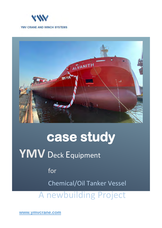



# **case study**

# **YMV** Deck Equipment

for Chemical/Oil Tanker Vessel

A newbuilding Project

**www.ymvcrane.com**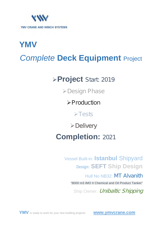

# **YMV** *Complete* **Deck Equipment** Project

# **Project** Start: 2019

Design Phase

**>Production** 

Tests

**≻Delivery** 

**Completion:** 2021

Vessel Built-in: **Istanbul** Shipyard **Design: SEFT Ship Design**

Hull No NB32: MT Alvanith

"8000 m3 IMO II Chemical and Oil Product Tanker"

Ship Owner: *Unibaltic Shipping*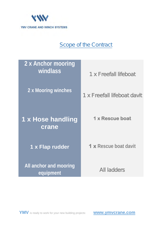

### Scope of the Contract

| 2 x Anchor mooring<br>windlass      | 1 x Freefall lifeboat        |
|-------------------------------------|------------------------------|
| 2 x Mooring winches                 | 1 x Freefall lifeboat davit  |
| 1 x Hose handling<br>crane          | 1 x Rescue boat              |
| 1 x Flap rudder                     | <b>1 x</b> Rescue boat davit |
| All anchor and mooring<br>equipment | <b>All ladders</b>           |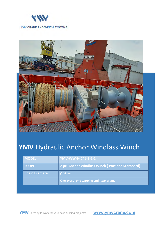



### **YMV** Hydraulic Anchor Windlass Winch

| <b>MODEL</b>          | YMV-WW-H-C46-1-2-1                               |
|-----------------------|--------------------------------------------------|
| <b>SCOPE</b>          | 2 pc. Anchor Windlass Winch (Port and Starboard) |
| <b>Chain Diameter</b> | $Ø$ 46 mm                                        |
|                       | One gypsy -one warping end -two drums            |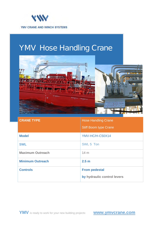

# YMV Hose Handling Crane



| <b>CRANE TYPE</b>       | <b>Hose Handling Crane</b>   |
|-------------------------|------------------------------|
|                         | <b>Stiff Boom type Crane</b> |
| <b>Model</b>            | YMV-HC/H-C50X14              |
| <b>SWL</b>              | SWL 5 Ton                    |
| <b>Maximum Outreach</b> | 14 <sub>m</sub>              |
| <b>Minimum Outreach</b> | 2.5 <sub>m</sub>             |
| <b>Controls</b>         | <b>From pedestal</b>         |
|                         | by hydraulic control levers  |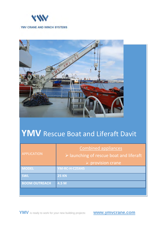



# **YMV** Rescue Boat and Liferaft Davit

| <b>APPLICATION</b>   | <b>Combined appliances</b><br>$\triangleright$ launching of rescue boat and liferaft |
|----------------------|--------------------------------------------------------------------------------------|
|                      | $\triangleright$ provision crane                                                     |
| <b>MODEL</b>         | <b>YM-RC-H-C25X45</b>                                                                |
| <b>SWL</b>           | <b>25 KN</b>                                                                         |
| <b>BOOM OUTREACH</b> | 4.5 M                                                                                |
|                      |                                                                                      |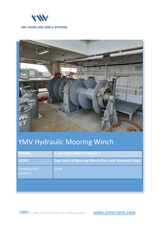



# YMV Hydraulic Mooring Winch

| <b>MODEL</b>                    | 1 unit YMV-MW/H-C70-0-2-1                            |
|---------------------------------|------------------------------------------------------|
| <b>SCOPE</b>                    | Two Units of Mooring Winch (Port and Starboard Side) |
| NOMINAL PULL<br><b>CAPACITY</b> | <b>70 kN</b>                                         |
|                                 |                                                      |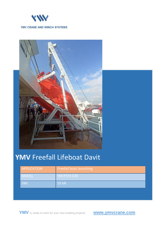



## **YMV** Freefall Lifeboat Davit

| <b>APPLICATION</b> | <b>Freefall boat launching</b> |
|--------------------|--------------------------------|
| <b>MODEL</b>       | YM-FF/H-C20                    |
| SWL                | <b>55 kN</b>                   |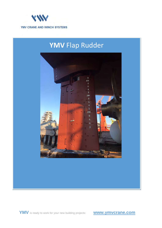

## **YMV** Flap Rudder



**YMV** is ready to work for your new building projects: **www.ymvcrane.com**